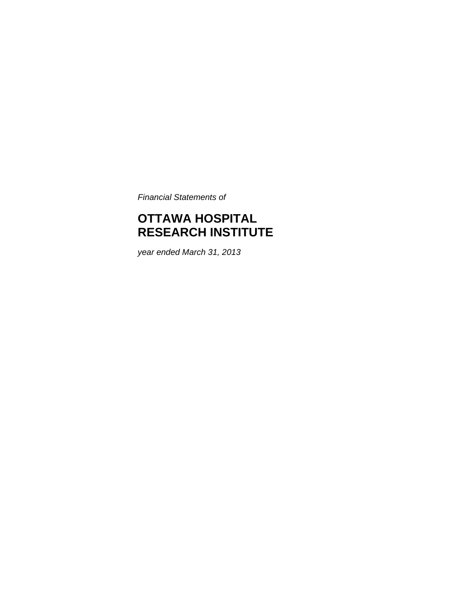*Financial Statements of* 

# **OTTAWA HOSPITAL RESEARCH INSTITUTE**

*year ended March 31, 2013*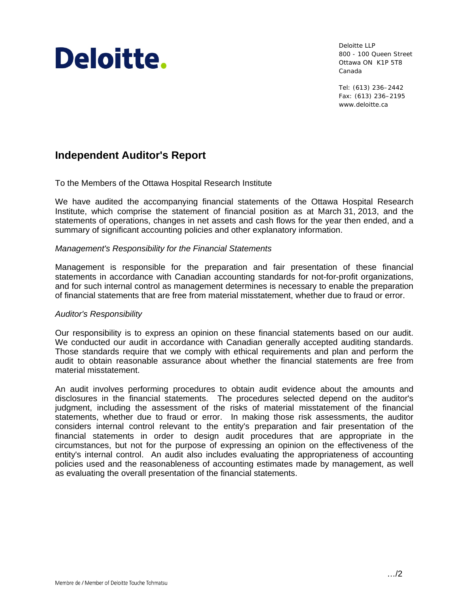# Deloitte.

Deloitte LLP 800 - 100 Queen Street Ottawa ON K1P 5T8 Canada

Tel: (613) 236–2442 Fax: (613) 236–2195 www.deloitte.ca

# **Independent Auditor's Report**

To the Members of the Ottawa Hospital Research Institute

We have audited the accompanying financial statements of the Ottawa Hospital Research Institute, which comprise the statement of financial position as at March 31, 2013, and the statements of operations, changes in net assets and cash flows for the year then ended, and a summary of significant accounting policies and other explanatory information.

#### *Management's Responsibility for the Financial Statements*

Management is responsible for the preparation and fair presentation of these financial statements in accordance with Canadian accounting standards for not-for-profit organizations, and for such internal control as management determines is necessary to enable the preparation of financial statements that are free from material misstatement, whether due to fraud or error.

#### *Auditor's Responsibility*

Our responsibility is to express an opinion on these financial statements based on our audit. We conducted our audit in accordance with Canadian generally accepted auditing standards. Those standards require that we comply with ethical requirements and plan and perform the audit to obtain reasonable assurance about whether the financial statements are free from material misstatement.

An audit involves performing procedures to obtain audit evidence about the amounts and disclosures in the financial statements. The procedures selected depend on the auditor's judgment, including the assessment of the risks of material misstatement of the financial statements, whether due to fraud or error. In making those risk assessments, the auditor considers internal control relevant to the entity's preparation and fair presentation of the financial statements in order to design audit procedures that are appropriate in the circumstances, but not for the purpose of expressing an opinion on the effectiveness of the entity's internal control. An audit also includes evaluating the appropriateness of accounting policies used and the reasonableness of accounting estimates made by management, as well as evaluating the overall presentation of the financial statements.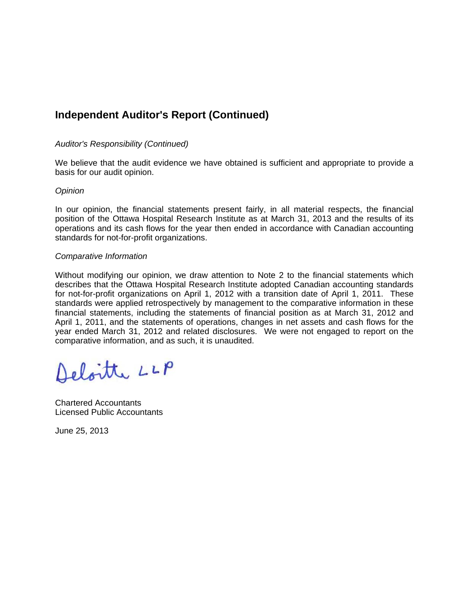# **Independent Auditor's Report (Continued)**

#### *Auditor's Responsibility (Continued)*

We believe that the audit evidence we have obtained is sufficient and appropriate to provide a basis for our audit opinion.

#### *Opinion*

In our opinion, the financial statements present fairly, in all material respects, the financial position of the Ottawa Hospital Research Institute as at March 31, 2013 and the results of its operations and its cash flows for the year then ended in accordance with Canadian accounting standards for not-for-profit organizations.

#### *Comparative Information*

Without modifying our opinion, we draw attention to Note 2 to the financial statements which describes that the Ottawa Hospital Research Institute adopted Canadian accounting standards for not-for-profit organizations on April 1, 2012 with a transition date of April 1, 2011. These standards were applied retrospectively by management to the comparative information in these financial statements, including the statements of financial position as at March 31, 2012 and April 1, 2011, and the statements of operations, changes in net assets and cash flows for the year ended March 31, 2012 and related disclosures. We were not engaged to report on the comparative information, and as such, it is unaudited.

Deloitte LLP

Chartered Accountants Licensed Public Accountants

June 25, 2013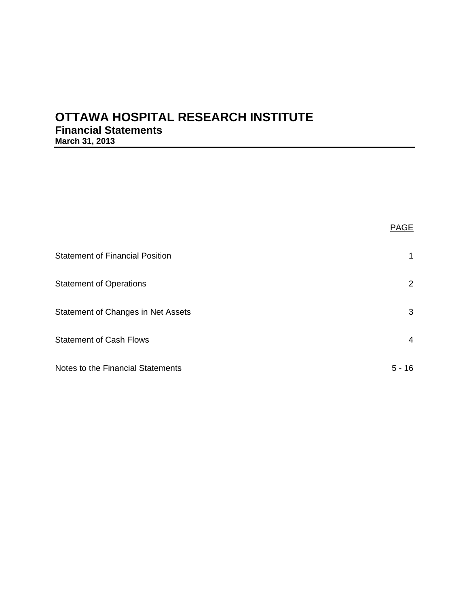# **OTTAWA HOSPITAL RESEARCH INSTITUTE Financial Statements March 31, 2013**

| <b>Statement of Financial Position</b> | 1              |
|----------------------------------------|----------------|
| <b>Statement of Operations</b>         | $\overline{2}$ |
| Statement of Changes in Net Assets     | 3              |
| <b>Statement of Cash Flows</b>         | 4              |
| Notes to the Financial Statements      | 16<br>5.       |

PAGE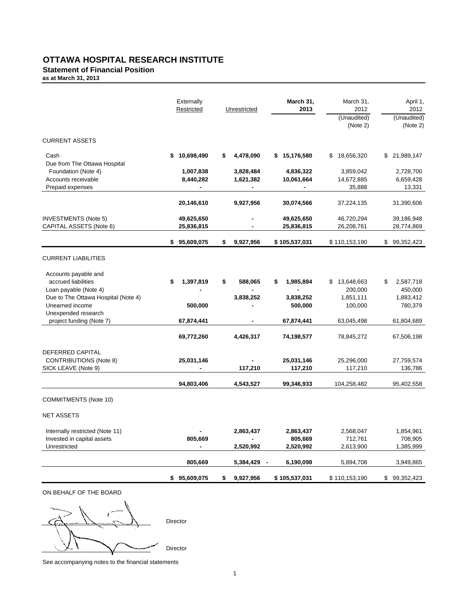# **OTTAWA HOSPITAL RESEARCH INSTITUTE**

#### **Statement of Financial Position**

**as at March 31, 2013**

|                                                      | Externally<br>Restricted | Unrestricted    | March 31,<br>2013     | March 31,<br>2012<br>(Unaudited) | April 1,<br>2012<br>(Unaudited) |
|------------------------------------------------------|--------------------------|-----------------|-----------------------|----------------------------------|---------------------------------|
|                                                      |                          |                 |                       | (Note 2)                         | (Note 2)                        |
| <b>CURRENT ASSETS</b>                                |                          |                 |                       |                                  |                                 |
| Cash<br>Due from The Ottawa Hospital                 | 10,698,490<br>\$         | 4,478,090<br>\$ | 15,176,580<br>\$      | \$18,656,320                     | \$ 21,989,147                   |
| Foundation (Note 4)                                  | 1,007,838                | 3,828,484       | 4,836,322             | 3,859,042                        | 2,728,700                       |
| Accounts receivable                                  | 8,440,282                | 1,621,382       | 10,061,664            | 14,672,885                       | 6,659,428                       |
| Prepaid expenses                                     | ٠                        | ٠               |                       | 35,888                           | 13,331                          |
|                                                      | 20,146,610               | 9,927,956       | 30,074,566            | 37,224,135                       | 31,390,606                      |
| <b>INVESTMENTS (Note 5)</b>                          | 49,625,650               |                 | 49,625,650            | 46,720,294                       | 39,186,948                      |
| CAPITAL ASSETS (Note 6)                              | 25,836,815               |                 | 25,836,815            | 26,208,761                       | 28,774,869                      |
|                                                      | \$95,609,075             | \$<br>9,927,956 | \$105,537,031         | \$110,153,190                    | 99,352,423<br>\$                |
|                                                      |                          |                 |                       |                                  |                                 |
| <b>CURRENT LIABILITIES</b>                           |                          |                 |                       |                                  |                                 |
| Accounts payable and                                 |                          |                 |                       |                                  |                                 |
| accrued liabilities                                  | \$<br>1,397,819          | \$<br>588,065   | 1,985,884<br>S        | 13,648,663                       | 2,587,718<br>\$                 |
| Loan payable (Note 4)                                |                          |                 |                       | 200,000                          | 450,000                         |
| Due to The Ottawa Hospital (Note 4)                  |                          | 3,838,252       | 3,838,252             | 1,851,111                        | 1,883,412                       |
| Unearned income                                      | 500,000                  |                 | 500,000               | 100,000                          | 780,379                         |
| Unexpended research<br>project funding (Note 7)      | 67,874,441               |                 | 67,874,441            | 63,045,498                       | 61,804,689                      |
|                                                      |                          |                 |                       |                                  |                                 |
|                                                      | 69,772,260               | 4,426,317       | 74,198,577            | 78,845,272                       | 67,506,198                      |
|                                                      |                          |                 |                       |                                  |                                 |
| DEFERRED CAPITAL                                     |                          |                 |                       |                                  |                                 |
| <b>CONTRIBUTIONS (Note 8)</b><br>SICK LEAVE (Note 9) | 25,031,146               | 117,210         | 25,031,146<br>117,210 | 25,296,000<br>117,210            | 27,759,574<br>136,786           |
|                                                      |                          |                 |                       |                                  |                                 |
|                                                      | 94,803,406               | 4,543,527       | 99,346,933            | 104,258,482                      | 95,402,558                      |
| <b>COMMITMENTS (Note 10)</b>                         |                          |                 |                       |                                  |                                 |
| <b>NET ASSETS</b>                                    |                          |                 |                       |                                  |                                 |
| Internally restricted (Note 11)                      |                          | 2,863,437       | 2,863,437             | 2,568,047                        | 1,854,961                       |
| Invested in capital assets                           | 805,669                  |                 | 805,669               | 712,761                          | 708,905                         |
| Unrestricted                                         |                          | 2,520,992       | 2,520,992             | 2,613,900                        | 1,385,999                       |
|                                                      | 805,669                  | 5,384,429 -     | 6,190,098             | 5,894,708                        | 3,949,865                       |
|                                                      | \$95,609,075             | 9,927,956<br>\$ | \$105,537,031         | \$110,153,190                    | \$99,352,423                    |
| ON BEHALF OF THE BOARD                               |                          |                 |                       |                                  |                                 |

 Director Director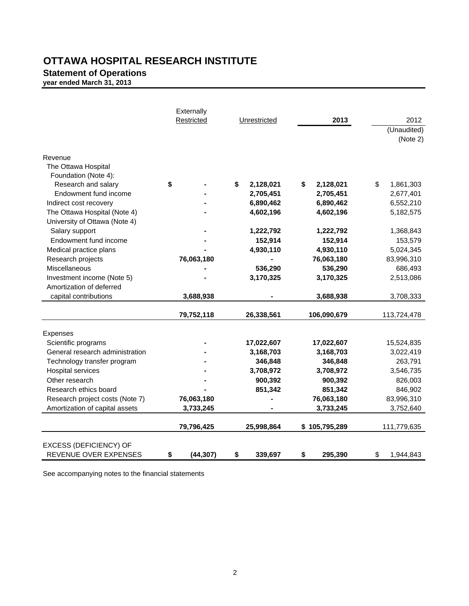# **OTTAWA HOSPITAL RESEARCH INSTITUTE**

**Statement of Operations**

**year ended March 31, 2013** 

|                                                        | Externally<br>Restricted | Unrestricted            | 2013                    | 2012<br>(Unaudited)<br>(Note 2) |
|--------------------------------------------------------|--------------------------|-------------------------|-------------------------|---------------------------------|
| Revenue                                                |                          |                         |                         |                                 |
| The Ottawa Hospital                                    |                          |                         |                         |                                 |
| Foundation (Note 4):                                   |                          |                         |                         |                                 |
| Research and salary                                    | \$                       | \$<br>2,128,021         | \$<br>2,128,021         | \$<br>1,861,303                 |
| Endowment fund income                                  |                          | 2,705,451               | 2,705,451               | 2,677,401                       |
| Indirect cost recovery                                 |                          | 6,890,462               | 6,890,462               | 6,552,210                       |
| The Ottawa Hospital (Note 4)                           |                          | 4,602,196               | 4,602,196               | 5,182,575                       |
| University of Ottawa (Note 4)                          |                          |                         |                         |                                 |
| Salary support                                         |                          | 1,222,792               | 1,222,792               | 1,368,843                       |
| Endowment fund income                                  |                          | 152,914                 | 152,914                 | 153,579                         |
| Medical practice plans                                 |                          | 4,930,110               | 4,930,110               | 5,024,345                       |
| Research projects                                      | 76,063,180               |                         | 76,063,180              | 83,996,310                      |
| Miscellaneous                                          |                          | 536,290                 | 536,290                 | 686,493                         |
| Investment income (Note 5)                             |                          | 3,170,325               | 3,170,325               | 2,513,086                       |
| Amortization of deferred                               |                          |                         |                         |                                 |
| capital contributions                                  | 3,688,938                |                         | 3,688,938               | 3,708,333                       |
|                                                        | 79,752,118               | 26,338,561              | 106,090,679             | 113,724,478                     |
|                                                        |                          |                         |                         |                                 |
| Expenses                                               |                          |                         |                         |                                 |
| Scientific programs<br>General research administration |                          | 17,022,607<br>3,168,703 | 17,022,607<br>3,168,703 | 15,524,835<br>3,022,419         |
| Technology transfer program                            |                          | 346,848                 | 346,848                 | 263,791                         |
| Hospital services                                      |                          | 3,708,972               | 3,708,972               | 3,546,735                       |
| Other research                                         |                          | 900,392                 | 900,392                 | 826,003                         |
| Research ethics board                                  |                          | 851,342                 | 851,342                 | 846,902                         |
| Research project costs (Note 7)                        | 76,063,180               |                         | 76,063,180              | 83,996,310                      |
| Amortization of capital assets                         | 3,733,245                |                         | 3,733,245               | 3,752,640                       |
|                                                        |                          |                         |                         |                                 |
|                                                        | 79,796,425               | 25,998,864              | \$105,795,289           | 111,779,635                     |
| <b>EXCESS (DEFICIENCY) OF</b>                          |                          |                         |                         |                                 |
| REVENUE OVER EXPENSES                                  | \$<br>(44, 307)          | \$<br>339,697           | \$<br>295,390           | \$<br>1,944,843                 |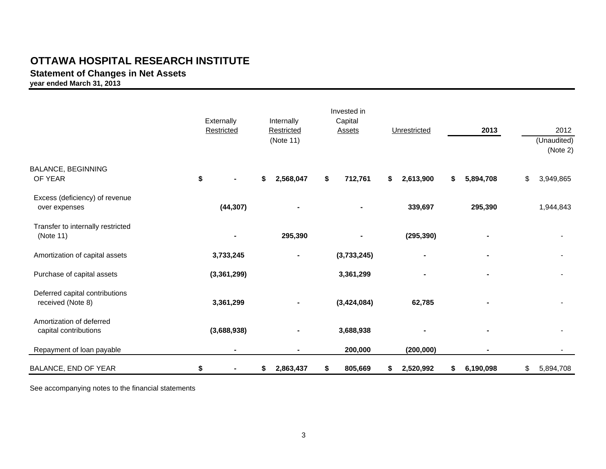# **OTTAWA HOSPITAL RESEARCH INSTITUTE**

# **Statement of Changes in Net Assets**

**year ended March 31, 2013**

|                                                     | Externally<br>Restricted | Internally<br>Restricted<br>(Note 11) | Invested in<br>Capital<br>Assets | Unrestricted    | 2013            | 2012<br>(Unaudited)<br>(Note 2) |
|-----------------------------------------------------|--------------------------|---------------------------------------|----------------------------------|-----------------|-----------------|---------------------------------|
| <b>BALANCE, BEGINNING</b><br>OF YEAR                | \$                       | 2,568,047<br>\$                       | 712,761<br>\$                    | \$<br>2,613,900 | 5,894,708<br>\$ | \$<br>3,949,865                 |
| Excess (deficiency) of revenue<br>over expenses     | (44, 307)                | ٠                                     |                                  | 339,697         | 295,390         | 1,944,843                       |
| Transfer to internally restricted<br>(Note 11)      |                          | 295,390                               |                                  | (295, 390)      |                 |                                 |
| Amortization of capital assets                      | 3,733,245                | ٠                                     | (3,733,245)                      | ۰               |                 |                                 |
| Purchase of capital assets                          | (3,361,299)              |                                       | 3,361,299                        | ۰               |                 |                                 |
| Deferred capital contributions<br>received (Note 8) | 3,361,299                |                                       | (3,424,084)                      | 62,785          |                 |                                 |
| Amortization of deferred<br>capital contributions   | (3,688,938)              |                                       | 3,688,938                        |                 | ۰               |                                 |
| Repayment of loan payable                           | $\blacksquare$           |                                       | 200,000                          | (200,000)       |                 |                                 |
| BALANCE, END OF YEAR                                | \$<br>٠                  | 2,863,437<br>\$                       | 805,669<br>\$                    | 2,520,992<br>\$ | 6,190,098<br>\$ | \$<br>5,894,708                 |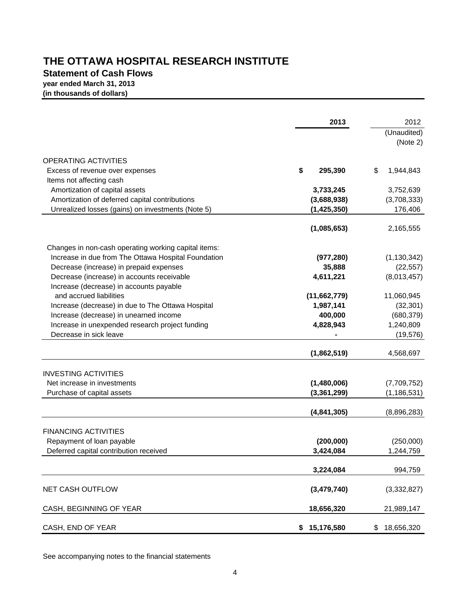# **THE OTTAWA HOSPITAL RESEARCH INSTITUTE**

# **Statement of Cash Flows year ended March 31, 2013**

**(in thousands of dollars)**

|                                                                                                     | 2013                         | 2012                    |
|-----------------------------------------------------------------------------------------------------|------------------------------|-------------------------|
|                                                                                                     |                              | (Unaudited)             |
|                                                                                                     |                              | (Note 2)                |
| <b>OPERATING ACTIVITIES</b>                                                                         |                              |                         |
| Excess of revenue over expenses                                                                     | \$<br>295,390                | \$<br>1,944,843         |
| Items not affecting cash                                                                            |                              |                         |
| Amortization of capital assets                                                                      | 3,733,245                    | 3,752,639               |
| Amortization of deferred capital contributions<br>Unrealized losses (gains) on investments (Note 5) | (3,688,938)<br>(1, 425, 350) | (3,708,333)<br>176,406  |
|                                                                                                     |                              |                         |
|                                                                                                     | (1,085,653)                  | 2,165,555               |
| Changes in non-cash operating working capital items:                                                |                              |                         |
| Increase in due from The Ottawa Hospital Foundation                                                 | (977, 280)                   | (1, 130, 342)           |
| Decrease (increase) in prepaid expenses                                                             | 35,888                       | (22, 557)               |
| Decrease (increase) in accounts receivable                                                          | 4,611,221                    | (8,013,457)             |
| Increase (decrease) in accounts payable                                                             |                              |                         |
| and accrued liabilities                                                                             | (11,662,779)                 | 11,060,945              |
| Increase (decrease) in due to The Ottawa Hospital                                                   | 1,987,141                    | (32, 301)               |
| Increase (decrease) in unearned income<br>Increase in unexpended research project funding           | 400,000<br>4,828,943         | (680, 379)<br>1,240,809 |
| Decrease in sick leave                                                                              |                              | (19, 576)               |
|                                                                                                     |                              |                         |
|                                                                                                     | (1,862,519)                  | 4,568,697               |
| <b>INVESTING ACTIVITIES</b>                                                                         |                              |                         |
| Net increase in investments                                                                         | (1,480,006)                  | (7,709,752)             |
| Purchase of capital assets                                                                          | (3, 361, 299)                | (1, 186, 531)           |
|                                                                                                     |                              |                         |
|                                                                                                     | (4,841,305)                  | (8,896,283)             |
| <b>FINANCING ACTIVITIES</b>                                                                         |                              |                         |
| Repayment of loan payable                                                                           | (200,000)                    | (250,000)               |
| Deferred capital contribution received                                                              | 3,424,084                    | 1,244,759               |
|                                                                                                     |                              |                         |
|                                                                                                     | 3,224,084                    | 994,759                 |
| NET CASH OUTFLOW                                                                                    | (3,479,740)                  | (3,332,827)             |
|                                                                                                     |                              |                         |
| CASH, BEGINNING OF YEAR                                                                             | 18,656,320                   | 21,989,147              |
| CASH, END OF YEAR                                                                                   | 15,176,580<br>\$             | 18,656,320<br>\$        |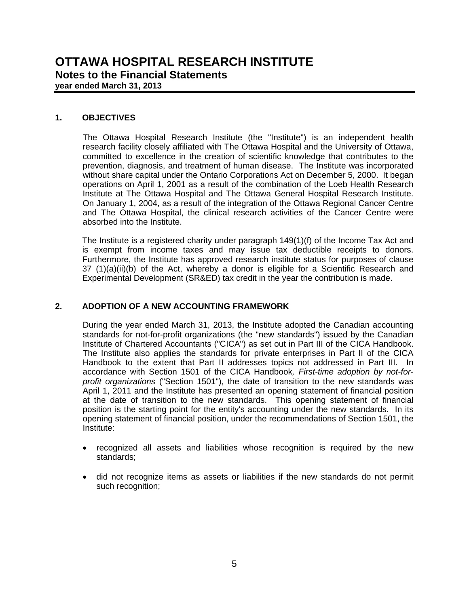#### **1. OBJECTIVES**

 The Ottawa Hospital Research Institute (the "Institute") is an independent health research facility closely affiliated with The Ottawa Hospital and the University of Ottawa, committed to excellence in the creation of scientific knowledge that contributes to the prevention, diagnosis, and treatment of human disease. The Institute was incorporated without share capital under the Ontario Corporations Act on December 5, 2000. It began operations on April 1, 2001 as a result of the combination of the Loeb Health Research Institute at The Ottawa Hospital and The Ottawa General Hospital Research Institute. On January 1, 2004, as a result of the integration of the Ottawa Regional Cancer Centre and The Ottawa Hospital, the clinical research activities of the Cancer Centre were absorbed into the Institute.

 The Institute is a registered charity under paragraph 149(1)(f) of the Income Tax Act and is exempt from income taxes and may issue tax deductible receipts to donors. Furthermore, the Institute has approved research institute status for purposes of clause  $37$  (1)(a)(ii)(b) of the Act, whereby a donor is eligible for a Scientific Research and Experimental Development (SR&ED) tax credit in the year the contribution is made.

### **2. ADOPTION OF A NEW ACCOUNTING FRAMEWORK**

During the year ended March 31, 2013, the Institute adopted the Canadian accounting standards for not-for-profit organizations (the "new standards") issued by the Canadian Institute of Chartered Accountants ("CICA") as set out in Part III of the CICA Handbook. The Institute also applies the standards for private enterprises in Part II of the CICA Handbook to the extent that Part II addresses topics not addressed in Part III. In accordance with Section 1501 of the CICA Handbook*, First-time adoption by not-forprofit organizations* ("Section 1501"), the date of transition to the new standards was April 1, 2011 and the Institute has presented an opening statement of financial position at the date of transition to the new standards. This opening statement of financial position is the starting point for the entity's accounting under the new standards. In its opening statement of financial position, under the recommendations of Section 1501, the Institute:

- recognized all assets and liabilities whose recognition is required by the new standards;
- did not recognize items as assets or liabilities if the new standards do not permit such recognition;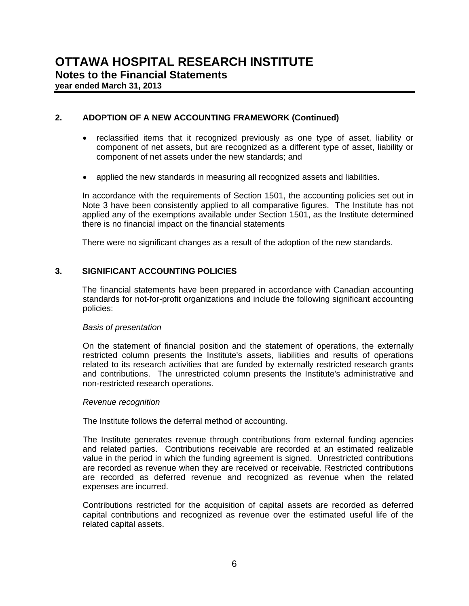#### **2. ADOPTION OF A NEW ACCOUNTING FRAMEWORK (Continued)**

- reclassified items that it recognized previously as one type of asset, liability or component of net assets, but are recognized as a different type of asset, liability or component of net assets under the new standards; and
- applied the new standards in measuring all recognized assets and liabilities.

In accordance with the requirements of Section 1501, the accounting policies set out in Note 3 have been consistently applied to all comparative figures. The Institute has not applied any of the exemptions available under Section 1501, as the Institute determined there is no financial impact on the financial statements

There were no significant changes as a result of the adoption of the new standards.

#### **3. SIGNIFICANT ACCOUNTING POLICIES**

The financial statements have been prepared in accordance with Canadian accounting standards for not-for-profit organizations and include the following significant accounting policies:

#### *Basis of presentation*

On the statement of financial position and the statement of operations, the externally restricted column presents the Institute's assets, liabilities and results of operations related to its research activities that are funded by externally restricted research grants and contributions. The unrestricted column presents the Institute's administrative and non-restricted research operations.

#### *Revenue recognition*

The Institute follows the deferral method of accounting.

The Institute generates revenue through contributions from external funding agencies and related parties. Contributions receivable are recorded at an estimated realizable value in the period in which the funding agreement is signed. Unrestricted contributions are recorded as revenue when they are received or receivable. Restricted contributions are recorded as deferred revenue and recognized as revenue when the related expenses are incurred.

Contributions restricted for the acquisition of capital assets are recorded as deferred capital contributions and recognized as revenue over the estimated useful life of the related capital assets.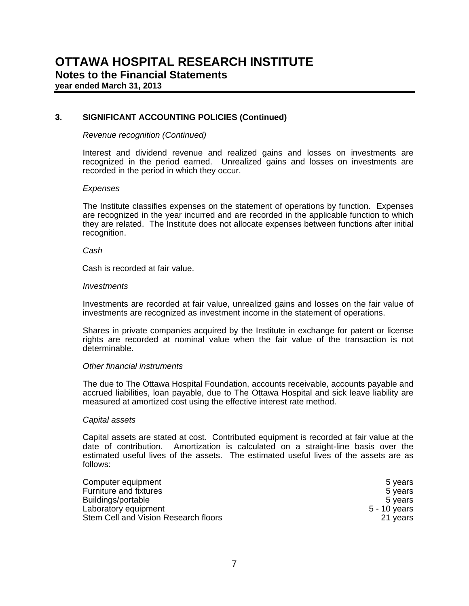#### **3. SIGNIFICANT ACCOUNTING POLICIES (Continued)**

#### *Revenue recognition (Continued)*

Interest and dividend revenue and realized gains and losses on investments are recognized in the period earned. Unrealized gains and losses on investments are recorded in the period in which they occur.

#### *Expenses*

The Institute classifies expenses on the statement of operations by function. Expenses are recognized in the year incurred and are recorded in the applicable function to which they are related. The Institute does not allocate expenses between functions after initial recognition.

#### *Cash*

Cash is recorded at fair value.

#### *Investments*

Investments are recorded at fair value, unrealized gains and losses on the fair value of investments are recognized as investment income in the statement of operations.

Shares in private companies acquired by the Institute in exchange for patent or license rights are recorded at nominal value when the fair value of the transaction is not determinable.

#### *Other financial instruments*

The due to The Ottawa Hospital Foundation, accounts receivable, accounts payable and accrued liabilities, loan payable, due to The Ottawa Hospital and sick leave liability are measured at amortized cost using the effective interest rate method.

#### *Capital assets*

Capital assets are stated at cost. Contributed equipment is recorded at fair value at the date of contribution. Amortization is calculated on a straight-line basis over the estimated useful lives of the assets. The estimated useful lives of the assets are as follows:

| Computer equipment                   | 5 vears      |
|--------------------------------------|--------------|
| Furniture and fixtures               | 5 years      |
| Buildings/portable                   | 5 vears      |
| Laboratory equipment                 | 5 - 10 years |
| Stem Cell and Vision Research floors | 21 years     |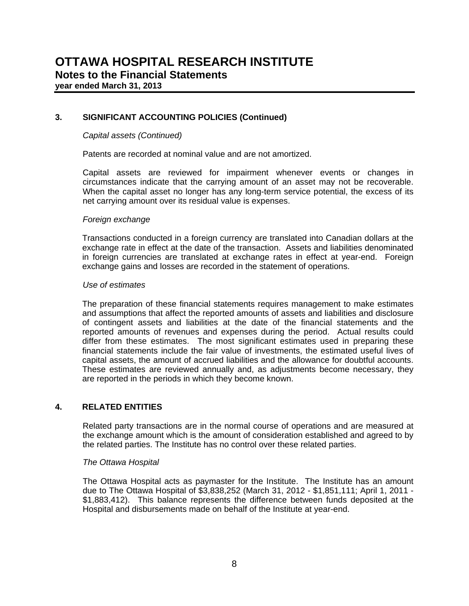#### **3. SIGNIFICANT ACCOUNTING POLICIES (Continued)**

#### *Capital assets (Continued)*

Patents are recorded at nominal value and are not amortized.

Capital assets are reviewed for impairment whenever events or changes in circumstances indicate that the carrying amount of an asset may not be recoverable. When the capital asset no longer has any long-term service potential, the excess of its net carrying amount over its residual value is expenses.

#### *Foreign exchange*

Transactions conducted in a foreign currency are translated into Canadian dollars at the exchange rate in effect at the date of the transaction. Assets and liabilities denominated in foreign currencies are translated at exchange rates in effect at year-end. Foreign exchange gains and losses are recorded in the statement of operations.

#### *Use of estimates*

The preparation of these financial statements requires management to make estimates and assumptions that affect the reported amounts of assets and liabilities and disclosure of contingent assets and liabilities at the date of the financial statements and the reported amounts of revenues and expenses during the period. Actual results could differ from these estimates. The most significant estimates used in preparing these financial statements include the fair value of investments, the estimated useful lives of capital assets, the amount of accrued liabilities and the allowance for doubtful accounts. These estimates are reviewed annually and, as adjustments become necessary, they are reported in the periods in which they become known.

#### **4. RELATED ENTITIES**

Related party transactions are in the normal course of operations and are measured at the exchange amount which is the amount of consideration established and agreed to by the related parties. The Institute has no control over these related parties.

#### *The Ottawa Hospital*

 The Ottawa Hospital acts as paymaster for the Institute. The Institute has an amount due to The Ottawa Hospital of \$3,838,252 (March 31, 2012 - \$1,851,111; April 1, 2011 - \$1,883,412). This balance represents the difference between funds deposited at the Hospital and disbursements made on behalf of the Institute at year-end.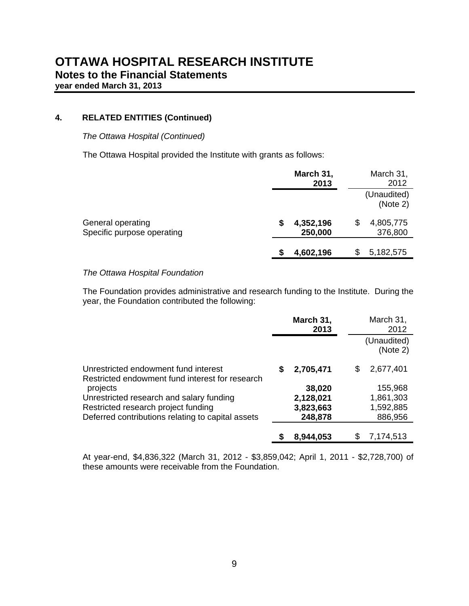## **4. RELATED ENTITIES (Continued)**

## *The Ottawa Hospital (Continued)*

The Ottawa Hospital provided the Institute with grants as follows:

|                                                 | March 31,<br>March 31,<br>2012<br>2013             |
|-------------------------------------------------|----------------------------------------------------|
|                                                 | (Unaudited)<br>(Note 2)                            |
| General operating<br>Specific purpose operating | \$<br>4,805,775<br>4,352,196<br>376,800<br>250,000 |
|                                                 | 5,182,575<br>4,602,196<br>S                        |

#### *The Ottawa Hospital Foundation*

 The Foundation provides administrative and research funding to the Institute. During the year, the Foundation contributed the following:

|                                                                                         | March 31,<br>2013 |           | March 31,<br>2012 |                         |
|-----------------------------------------------------------------------------------------|-------------------|-----------|-------------------|-------------------------|
|                                                                                         |                   |           |                   | (Unaudited)<br>(Note 2) |
| Unrestricted endowment fund interest<br>Restricted endowment fund interest for research | S                 | 2,705,471 | S                 | 2,677,401               |
| projects                                                                                |                   | 38,020    |                   | 155,968                 |
| Unrestricted research and salary funding                                                |                   | 2,128,021 |                   | 1,861,303               |
| Restricted research project funding                                                     |                   | 3,823,663 |                   | 1,592,885               |
| Deferred contributions relating to capital assets                                       |                   | 248,878   |                   | 886,956                 |
|                                                                                         |                   | 8,944,053 | \$.               | 7,174,513               |

At year-end, \$4,836,322 (March 31, 2012 - \$3,859,042; April 1, 2011 - \$2,728,700) of these amounts were receivable from the Foundation.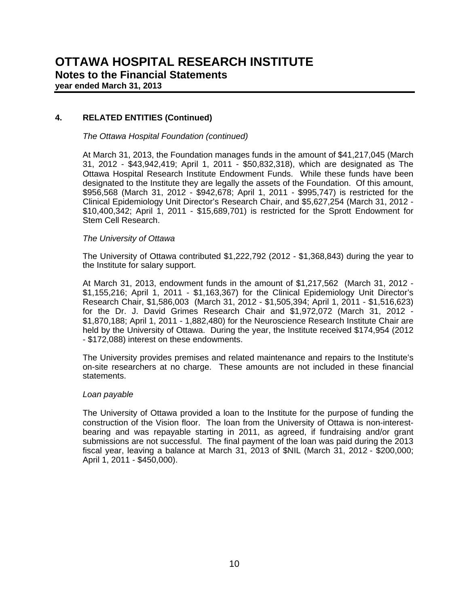## **4. RELATED ENTITIES (Continued)**

*The Ottawa Hospital Foundation (continued)*

 At March 31, 2013, the Foundation manages funds in the amount of \$41,217,045 (March 31, 2012 - \$43,942,419; April 1, 2011 - \$50,832,318), which are designated as The Ottawa Hospital Research Institute Endowment Funds. While these funds have been designated to the Institute they are legally the assets of the Foundation. Of this amount, \$956,568 (March 31, 2012 - \$942,678; April 1, 2011 - \$995,747) is restricted for the Clinical Epidemiology Unit Director's Research Chair, and \$5,627,254 (March 31, 2012 - \$10,400,342; April 1, 2011 - \$15,689,701) is restricted for the Sprott Endowment for Stem Cell Research.

#### *The University of Ottawa*

 The University of Ottawa contributed \$1,222,792 (2012 - \$1,368,843) during the year to the Institute for salary support.

 At March 31, 2013, endowment funds in the amount of \$1,217,562 (March 31, 2012 - \$1,155,216; April 1, 2011 - \$1,163,367) for the Clinical Epidemiology Unit Director's Research Chair, \$1,586,003 (March 31, 2012 - \$1,505,394; April 1, 2011 - \$1,516,623) for the Dr. J. David Grimes Research Chair and \$1,972,072 (March 31, 2012 - \$1,870,188; April 1, 2011 - 1,882,480) for the Neuroscience Research Institute Chair are held by the University of Ottawa. During the year, the Institute received \$174,954 (2012 - \$172,088) interest on these endowments.

 The University provides premises and related maintenance and repairs to the Institute's on-site researchers at no charge. These amounts are not included in these financial statements.

#### *Loan payable*

The University of Ottawa provided a loan to the Institute for the purpose of funding the construction of the Vision floor. The loan from the University of Ottawa is non-interestbearing and was repayable starting in 2011, as agreed, if fundraising and/or grant submissions are not successful. The final payment of the loan was paid during the 2013 fiscal year, leaving a balance at March 31, 2013 of \$NIL (March 31, 2012 - \$200,000; April 1, 2011 - \$450,000).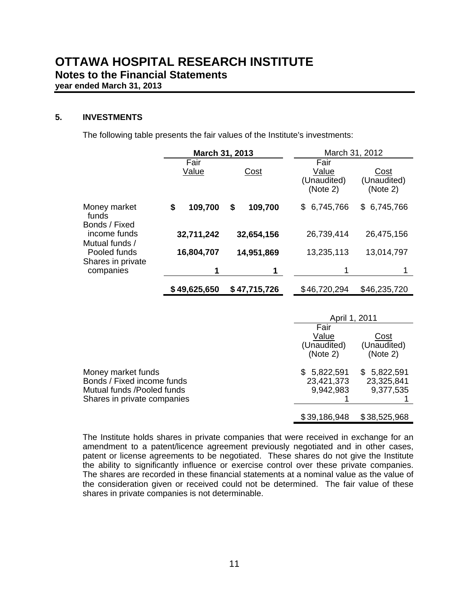### **5. INVESTMENTS**

The following table presents the fair values of the Institute's investments:

|                                                                                                               | March 31, 2013 |               | March 31, 2012                           |                                        |  |
|---------------------------------------------------------------------------------------------------------------|----------------|---------------|------------------------------------------|----------------------------------------|--|
|                                                                                                               | Fair<br>Value  | Cost          | Fair<br>Value<br>(Unaudited)<br>(Note 2) | <b>Cost</b><br>(Unaudited)<br>(Note 2) |  |
| Money market<br>funds<br>Bonds / Fixed                                                                        | \$<br>109,700  | \$<br>109,700 | \$6,745,766                              | \$6,745,766                            |  |
| income funds                                                                                                  | 32,711,242     | 32,654,156    | 26,739,414                               | 26,475,156                             |  |
| Mutual funds /<br>Pooled funds<br>Shares in private                                                           | 16,804,707     | 14,951,869    | 13,235,113                               | 13,014,797                             |  |
| companies                                                                                                     | 1              | 1             | 1                                        |                                        |  |
|                                                                                                               | \$49,625,650   | \$47,715,726  | \$46,720,294                             | \$46,235,720                           |  |
|                                                                                                               |                |               | April 1, 2011                            |                                        |  |
|                                                                                                               |                |               | Fair<br>Value<br>(Unaudited)<br>(Note 2) | Cost<br>(Unaudited)<br>(Note 2)        |  |
| Money market funds<br>Bonds / Fixed income funds<br>Mutual funds /Pooled funds<br>Shares in private companies |                |               | \$5,822,591<br>23,421,373<br>9,942,983   | \$5,822,591<br>23,325,841<br>9,377,535 |  |
|                                                                                                               |                |               | \$39,186,948                             | \$38,525,968                           |  |

The Institute holds shares in private companies that were received in exchange for an amendment to a patent/licence agreement previously negotiated and in other cases, patent or license agreements to be negotiated. These shares do not give the Institute the ability to significantly influence or exercise control over these private companies. The shares are recorded in these financial statements at a nominal value as the value of the consideration given or received could not be determined. The fair value of these shares in private companies is not determinable.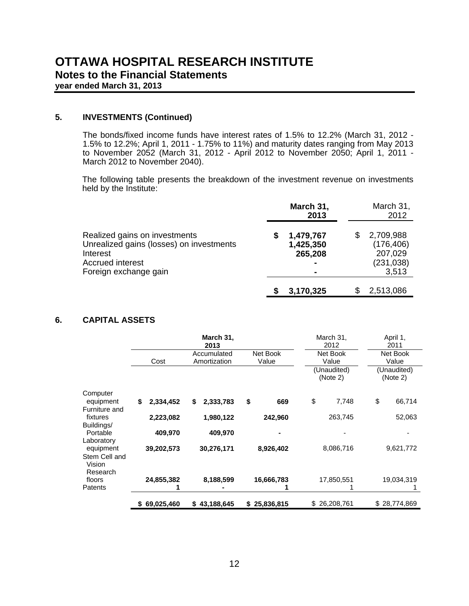## **5. INVESTMENTS (Continued)**

The bonds/fixed income funds have interest rates of 1.5% to 12.2% (March 31, 2012 - 1.5% to 12.2%; April 1, 2011 - 1.75% to 11%) and maturity dates ranging from May 2013 to November 2052 (March 31, 2012 - April 2012 to November 2050; April 1, 2011 - March 2012 to November 2040).

The following table presents the breakdown of the investment revenue on investments held by the Institute:

|                                                                                                                                           | March 31,<br>2013                      | March 31,<br>2012                                              |
|-------------------------------------------------------------------------------------------------------------------------------------------|----------------------------------------|----------------------------------------------------------------|
| Realized gains on investments<br>Unrealized gains (losses) on investments<br>Interest<br><b>Accrued interest</b><br>Foreign exchange gain | 1,479,767<br>5<br>1,425,350<br>265,208 | 2,709,988<br>S<br>(176, 406)<br>207,029<br>(231, 038)<br>3,513 |
|                                                                                                                                           | 3,170,325                              | 2,513,086<br>S.                                                |

## **6. CAPITAL ASSETS**

|                                     |                 | March 31,<br>2013           |                   | March 31,<br>2012       | April 1,<br>2011        |
|-------------------------------------|-----------------|-----------------------------|-------------------|-------------------------|-------------------------|
|                                     | Cost            | Accumulated<br>Amortization | Net Book<br>Value | Net Book<br>Value       | Net Book<br>Value       |
|                                     |                 |                             |                   | (Unaudited)<br>(Note 2) | (Unaudited)<br>(Note 2) |
| Computer                            |                 |                             |                   |                         |                         |
| equipment<br>Furniture and          | 2,334,452<br>\$ | \$<br>2,333,783             | \$<br>669         | \$<br>7,748             | \$<br>66,714            |
| fixtures                            | 2,223,082       | 1,980,122                   | 242,960           | 263,745                 | 52,063                  |
| Buildings/                          |                 |                             |                   |                         |                         |
| Portable<br>Laboratory              | 409,970         | 409,970                     |                   |                         |                         |
| equipment                           | 39,202,573      | 30,276,171                  | 8,926,402         | 8,086,716               | 9,621,772               |
| Stem Cell and<br>Vision<br>Research |                 |                             |                   |                         |                         |
| floors                              | 24,855,382      | 8,188,599                   | 16,666,783        | 17,850,551              | 19,034,319              |
| Patents                             |                 |                             |                   |                         |                         |
|                                     | \$69,025,460    | \$43,188,645                | 25,836,815<br>S.  | \$26,208,761            | \$28,774,869            |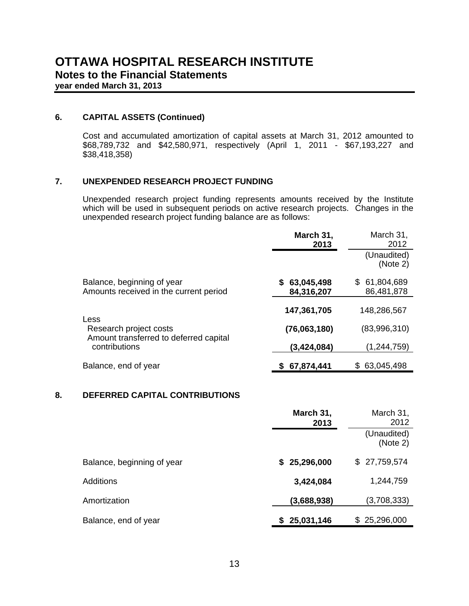#### **6. CAPITAL ASSETS (Continued)**

Cost and accumulated amortization of capital assets at March 31, 2012 amounted to \$68,789,732 and \$42,580,971, respectively (April 1, 2011 - \$67,193,227 and \$38,418,358)

## **7. UNEXPENDED RESEARCH PROJECT FUNDING**

Unexpended research project funding represents amounts received by the Institute which will be used in subsequent periods on active research projects. Changes in the unexpended research project funding balance are as follows:

|                                                                      | March 31,<br>2013        | March 31,<br>2012        |
|----------------------------------------------------------------------|--------------------------|--------------------------|
|                                                                      |                          | (Unaudited)<br>(Note 2)  |
| Balance, beginning of year<br>Amounts received in the current period | 63,045,498<br>84,316,207 | 61,804,689<br>86,481,878 |
| Less                                                                 | 147,361,705              | 148,286,567              |
| Research project costs<br>Amount transferred to deferred capital     | (76,063,180)             | (83,996,310)             |
| contributions                                                        | (3,424,084)              | (1,244,759)              |
| Balance, end of year                                                 | 67,874,441               | 63,045,498               |

#### **8. DEFERRED CAPITAL CONTRIBUTIONS**

|                            | March 31,<br>2013 | March 31,<br>2012       |
|----------------------------|-------------------|-------------------------|
|                            |                   | (Unaudited)<br>(Note 2) |
| Balance, beginning of year | \$25,296,000      | \$27,759,574            |
| <b>Additions</b>           | 3,424,084         | 1,244,759               |
| Amortization               | (3,688,938)       | (3,708,333)             |
| Balance, end of year       | \$25,031,146      | \$25,296,000            |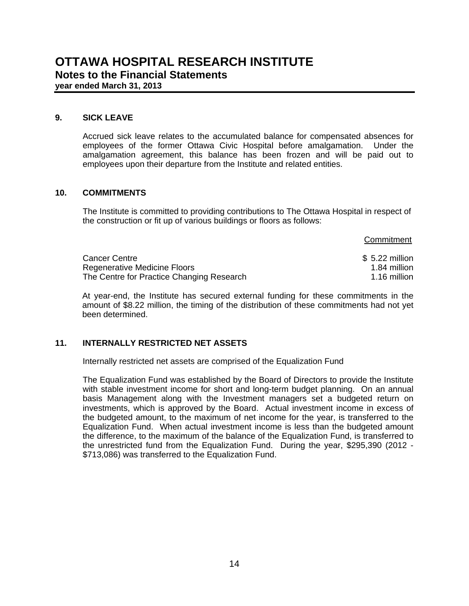#### **9. SICK LEAVE**

 Accrued sick leave relates to the accumulated balance for compensated absences for employees of the former Ottawa Civic Hospital before amalgamation. Under the amalgamation agreement, this balance has been frozen and will be paid out to employees upon their departure from the Institute and related entities.

#### **10. COMMITMENTS**

 The Institute is committed to providing contributions to The Ottawa Hospital in respect of the construction or fit up of various buildings or floors as follows:

|                                                                                  | Commitment                   |
|----------------------------------------------------------------------------------|------------------------------|
| <b>Cancer Centre</b>                                                             | $$5.22$ million              |
| <b>Regenerative Medicine Floors</b><br>The Centre for Practice Changing Research | 1.84 million<br>1.16 million |

At year-end, the Institute has secured external funding for these commitments in the amount of \$8.22 million, the timing of the distribution of these commitments had not yet been determined.

## **11. INTERNALLY RESTRICTED NET ASSETS**

Internally restricted net assets are comprised of the Equalization Fund

The Equalization Fund was established by the Board of Directors to provide the Institute with stable investment income for short and long-term budget planning. On an annual basis Management along with the Investment managers set a budgeted return on investments, which is approved by the Board. Actual investment income in excess of the budgeted amount, to the maximum of net income for the year, is transferred to the Equalization Fund. When actual investment income is less than the budgeted amount the difference, to the maximum of the balance of the Equalization Fund, is transferred to the unrestricted fund from the Equalization Fund. During the year, \$295,390 (2012 - \$713,086) was transferred to the Equalization Fund.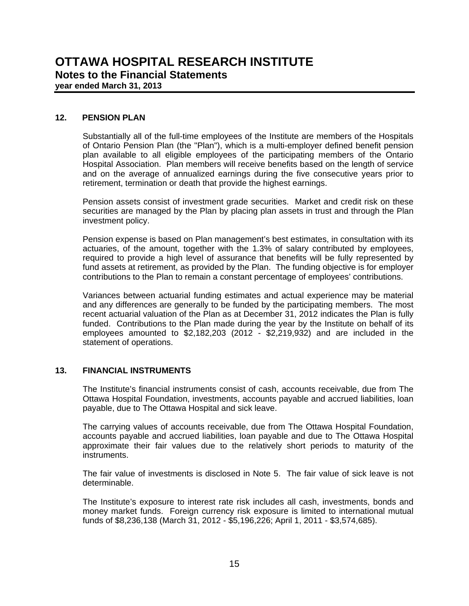#### **12. PENSION PLAN**

 Substantially all of the full-time employees of the Institute are members of the Hospitals of Ontario Pension Plan (the "Plan"), which is a multi-employer defined benefit pension plan available to all eligible employees of the participating members of the Ontario Hospital Association. Plan members will receive benefits based on the length of service and on the average of annualized earnings during the five consecutive years prior to retirement, termination or death that provide the highest earnings.

 Pension assets consist of investment grade securities. Market and credit risk on these securities are managed by the Plan by placing plan assets in trust and through the Plan investment policy.

 Pension expense is based on Plan management's best estimates, in consultation with its actuaries, of the amount, together with the 1.3% of salary contributed by employees, required to provide a high level of assurance that benefits will be fully represented by fund assets at retirement, as provided by the Plan. The funding objective is for employer contributions to the Plan to remain a constant percentage of employees' contributions.

 Variances between actuarial funding estimates and actual experience may be material and any differences are generally to be funded by the participating members. The most recent actuarial valuation of the Plan as at December 31, 2012 indicates the Plan is fully funded. Contributions to the Plan made during the year by the Institute on behalf of its employees amounted to  $$2,182,203$  (2012 -  $$2,219,932$ ) and are included in the statement of operations.

## **13. FINANCIAL INSTRUMENTS**

 The Institute's financial instruments consist of cash, accounts receivable, due from The Ottawa Hospital Foundation, investments, accounts payable and accrued liabilities, loan payable, due to The Ottawa Hospital and sick leave.

 The carrying values of accounts receivable, due from The Ottawa Hospital Foundation, accounts payable and accrued liabilities, loan payable and due to The Ottawa Hospital approximate their fair values due to the relatively short periods to maturity of the instruments.

 The fair value of investments is disclosed in Note 5. The fair value of sick leave is not determinable.

 The Institute's exposure to interest rate risk includes all cash, investments, bonds and money market funds. Foreign currency risk exposure is limited to international mutual funds of \$8,236,138 (March 31, 2012 - \$5,196,226; April 1, 2011 - \$3,574,685).